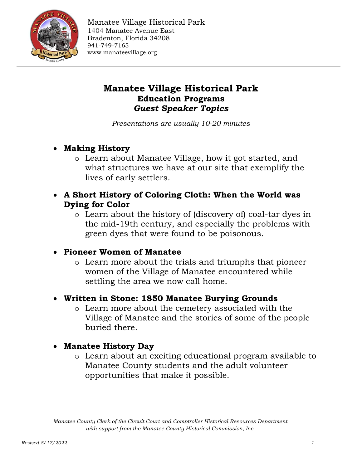

# **Manatee Village Historical Park Education Programs** *Guest Speaker Topics*

*Presentations are usually 10-20 minutes*

#### **Making History**

- o Learn about Manatee Village, how it got started, and what structures we have at our site that exemplify the lives of early settlers.
- **A Short History of Coloring Cloth: When the World was Dying for Color**
	- o Learn about the history of (discovery of) coal-tar dyes in the mid-19th century, and especially the problems with green dyes that were found to be poisonous.

#### **Pioneer Women of Manatee**

- o Learn more about the trials and triumphs that pioneer women of the Village of Manatee encountered while settling the area we now call home.
- **Written in Stone: 1850 Manatee Burying Grounds**
	- o Learn more about the cemetery associated with the Village of Manatee and the stories of some of the people buried there.

#### **Manatee History Day**

o Learn about an exciting educational program available to Manatee County students and the adult volunteer opportunities that make it possible.